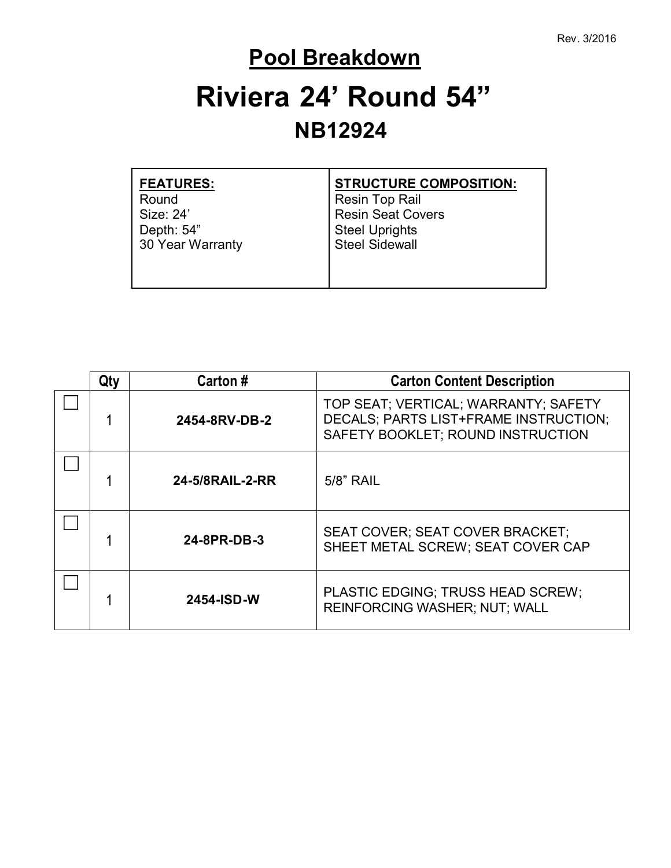### **Pool Breakdown**

# **Riviera 24' Round 54" NB12924**

| <b>FEATURES:</b> | <b>STRUCTURE COMPOSITION:</b> |
|------------------|-------------------------------|
| Round            | <b>Resin Top Rail</b>         |
| Size: 24'        | <b>Resin Seat Covers</b>      |
| Depth: 54"       | <b>Steel Uprights</b>         |
| 30 Year Warranty | <b>Steel Sidewall</b>         |
|                  |                               |
|                  |                               |
|                  |                               |

| Qtv | Carton #                                                                                   | <b>Carton Content Description</b>                                                                                  |  |
|-----|--------------------------------------------------------------------------------------------|--------------------------------------------------------------------------------------------------------------------|--|
|     | 2454-8RV-DB-2                                                                              | TOP SEAT; VERTICAL; WARRANTY; SAFETY<br>DECALS; PARTS LIST+FRAME INSTRUCTION;<br>SAFETY BOOKLET; ROUND INSTRUCTION |  |
|     | 24-5/8RAIL-2-RR<br>5/8" RAIL                                                               |                                                                                                                    |  |
|     | <b>SEAT COVER: SEAT COVER BRACKET:</b><br>24-8PR-DB-3<br>SHEET METAL SCREW; SEAT COVER CAP |                                                                                                                    |  |
|     | 2454-ISD-W                                                                                 | PLASTIC EDGING; TRUSS HEAD SCREW;<br><b>REINFORCING WASHER; NUT; WALL</b>                                          |  |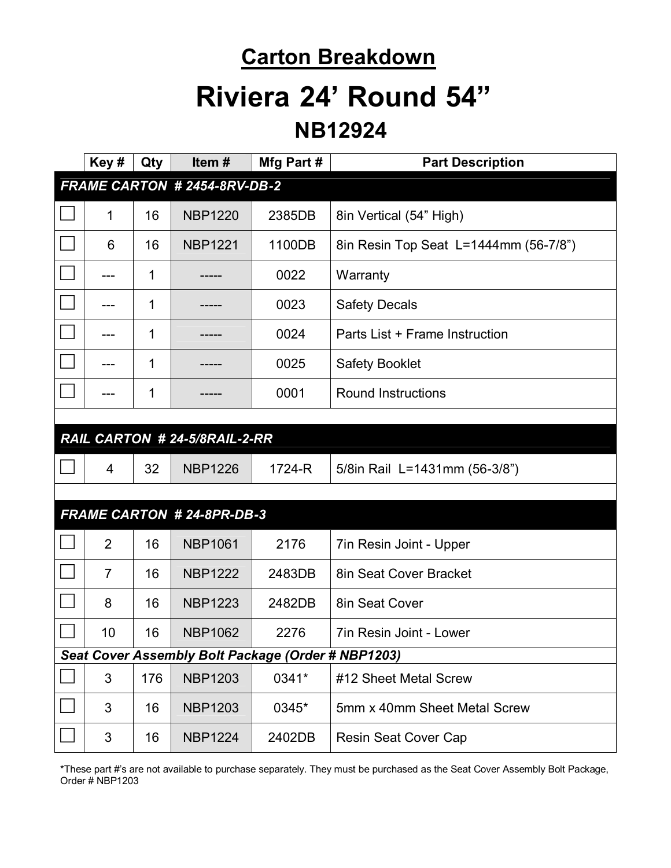### **Carton Breakdown**

## **Riviera 24' Round 54"**

#### **NB12924**

|                                                    | Key#           | Qty | Item#                            | Mfg Part # | <b>Part Description</b>               |  |
|----------------------------------------------------|----------------|-----|----------------------------------|------------|---------------------------------------|--|
| FRAME CARTON # 2454-8RV-DB-2                       |                |     |                                  |            |                                       |  |
|                                                    | 1              | 16  | <b>NBP1220</b>                   | 2385DB     | 8in Vertical (54" High)               |  |
|                                                    | 6              | 16  | <b>NBP1221</b>                   | 1100DB     | 8in Resin Top Seat L=1444mm (56-7/8") |  |
|                                                    |                | 1   |                                  | 0022       | Warranty                              |  |
|                                                    |                | 1   |                                  | 0023       | <b>Safety Decals</b>                  |  |
|                                                    |                | 1   |                                  | 0024       | Parts List + Frame Instruction        |  |
|                                                    |                | 1   |                                  | 0025       | <b>Safety Booklet</b>                 |  |
|                                                    |                | 1   |                                  | 0001       | <b>Round Instructions</b>             |  |
|                                                    |                |     |                                  |            |                                       |  |
| RAIL CARTON # 24-5/8RAIL-2-RR                      |                |     |                                  |            |                                       |  |
|                                                    | $\overline{4}$ | 32  | <b>NBP1226</b>                   | 1724-R     | 5/8in Rail L=1431mm (56-3/8")         |  |
|                                                    |                |     |                                  |            |                                       |  |
|                                                    |                |     | <b>FRAME CARTON #24-8PR-DB-3</b> |            |                                       |  |
|                                                    | 2              | 16  | <b>NBP1061</b>                   | 2176       | 7in Resin Joint - Upper               |  |
|                                                    | $\overline{7}$ | 16  | <b>NBP1222</b>                   | 2483DB     | 8in Seat Cover Bracket                |  |
|                                                    | 8              | 16  | <b>NBP1223</b>                   | 2482DB     | 8in Seat Cover                        |  |
|                                                    | 10             | 16  | <b>NBP1062</b>                   | 2276       | 7in Resin Joint - Lower               |  |
| Seat Cover Assembly Bolt Package (Order # NBP1203) |                |     |                                  |            |                                       |  |
|                                                    | $\sqrt{3}$     | 176 | <b>NBP1203</b>                   | 0341*      | #12 Sheet Metal Screw                 |  |
|                                                    | 3              | 16  | <b>NBP1203</b>                   | 0345*      | 5mm x 40mm Sheet Metal Screw          |  |
|                                                    | 3              | 16  | <b>NBP1224</b>                   | 2402DB     | Resin Seat Cover Cap                  |  |

\*These part #'s are not available to purchase separately. They must be purchased as the Seat Cover Assembly Bolt Package, Order # NBP1203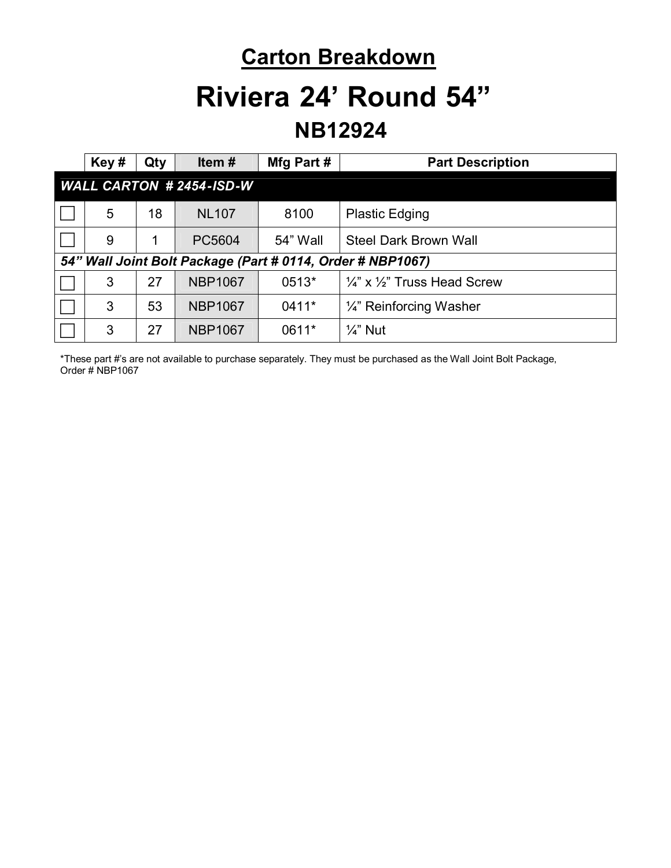### **Carton Breakdown**

## **Riviera 24' Round 54"**

### **NB12924**

|                                                            | Key#                           | Qty | Item#          | Mfg Part # | <b>Part Description</b>                            |
|------------------------------------------------------------|--------------------------------|-----|----------------|------------|----------------------------------------------------|
|                                                            | <b>WALL CARTON #2454-ISD-W</b> |     |                |            |                                                    |
|                                                            | 5                              | 18  | <b>NL107</b>   | 8100       | <b>Plastic Edging</b>                              |
|                                                            | 9                              |     | PC5604         | 54" Wall   | <b>Steel Dark Brown Wall</b>                       |
| 54" Wall Joint Bolt Package (Part # 0114, Order # NBP1067) |                                |     |                |            |                                                    |
|                                                            | 3                              | 27  | <b>NBP1067</b> | $0513*$    | $\frac{1}{4}$ " x $\frac{1}{2}$ " Truss Head Screw |
|                                                            | 3                              | 53  | <b>NBP1067</b> | 0411*      | 1/4" Reinforcing Washer                            |
|                                                            | 3                              | 27  | <b>NBP1067</b> | 0611*      | $\frac{1}{4}$ " Nut                                |

\*These part #'s are not available to purchase separately. They must be purchased as the Wall Joint Bolt Package, Order # NBP1067